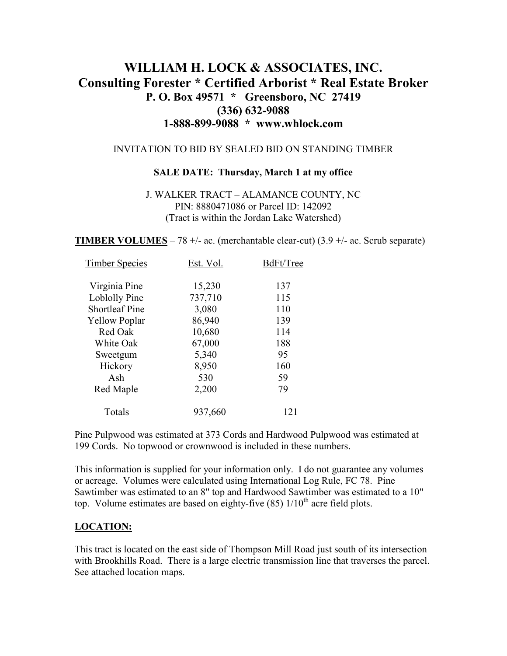# **WILLIAM H. LOCK & ASSOCIATES, INC. Consulting Forester \* Certified Arborist \* Real Estate Broker P. O. Box 49571 \* Greensboro, NC 27419 (336) 632-9088 1-888-899-9088 \* www.whlock.com**

### INVITATION TO BID BY SEALED BID ON STANDING TIMBER

#### **SALE DATE: Thursday, March 1 at my office**

#### J. WALKER TRACT – ALAMANCE COUNTY, NC PIN: 8880471086 or Parcel ID: 142092 (Tract is within the Jordan Lake Watershed)

**TIMBER VOLUMES** – 78 +/- ac. (merchantable clear-cut)  $(3.9 +/-$  ac. Scrub separate)

| Est. Vol. | BdFt/Tree |
|-----------|-----------|
| 15,230    | 137       |
| 737,710   | 115       |
| 3,080     | 110       |
| 86,940    | 139       |
| 10,680    | 114       |
| 67,000    | 188       |
| 5,340     | 95        |
| 8,950     | 160       |
| 530       | 59        |
| 2,200     | 79        |
| 937,660   | 121       |
|           |           |

Pine Pulpwood was estimated at 373 Cords and Hardwood Pulpwood was estimated at 199 Cords. No topwood or crownwood is included in these numbers.

This information is supplied for your information only. I do not guarantee any volumes or acreage. Volumes were calculated using International Log Rule, FC 78. Pine Sawtimber was estimated to an 8" top and Hardwood Sawtimber was estimated to a 10" top. Volume estimates are based on eighty-five  $(85)$  1/10<sup>th</sup> acre field plots.

### **LOCATION:**

This tract is located on the east side of Thompson Mill Road just south of its intersection with Brookhills Road. There is a large electric transmission line that traverses the parcel. See attached location maps.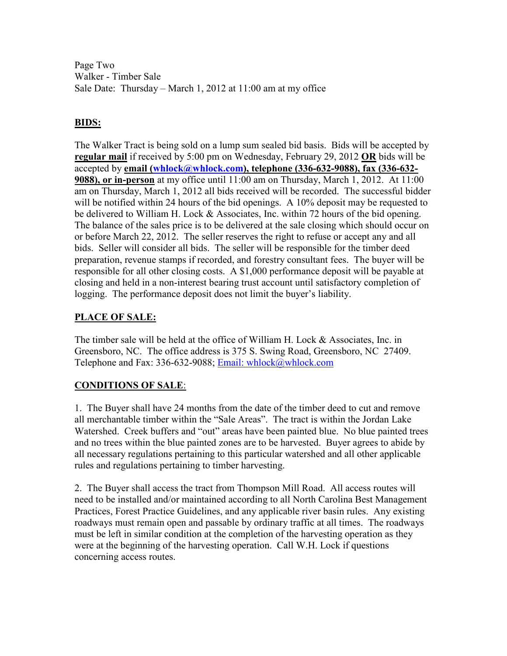Page Two Walker - Timber Sale Sale Date: Thursday – March 1, 2012 at 11:00 am at my office

## **BIDS:**

The Walker Tract is being sold on a lump sum sealed bid basis. Bids will be accepted by **regular mail** if received by 5:00 pm on Wednesday, February 29, 2012 **OR** bids will be accepted by **email (whlock@whlock.com), telephone (336-632-9088), fax (336-632- 9088), or in-person** at my office until 11:00 am on Thursday, March 1, 2012. At 11:00 am on Thursday, March 1, 2012 all bids received will be recorded. The successful bidder will be notified within 24 hours of the bid openings. A 10% deposit may be requested to be delivered to William H. Lock & Associates, Inc. within 72 hours of the bid opening. The balance of the sales price is to be delivered at the sale closing which should occur on or before March 22, 2012. The seller reserves the right to refuse or accept any and all bids. Seller will consider all bids. The seller will be responsible for the timber deed preparation, revenue stamps if recorded, and forestry consultant fees. The buyer will be responsible for all other closing costs. A \$1,000 performance deposit will be payable at closing and held in a non-interest bearing trust account until satisfactory completion of logging. The performance deposit does not limit the buyer's liability.

# **PLACE OF SALE:**

The timber sale will be held at the office of William H. Lock & Associates, Inc. in Greensboro, NC. The office address is 375 S. Swing Road, Greensboro, NC 27409. Telephone and Fax: 336-632-9088; Email: whlock@whlock.com

### **CONDITIONS OF SALE**:

1. The Buyer shall have 24 months from the date of the timber deed to cut and remove all merchantable timber within the "Sale Areas". The tract is within the Jordan Lake Watershed. Creek buffers and "out" areas have been painted blue. No blue painted trees and no trees within the blue painted zones are to be harvested. Buyer agrees to abide by all necessary regulations pertaining to this particular watershed and all other applicable rules and regulations pertaining to timber harvesting.

2. The Buyer shall access the tract from Thompson Mill Road. All access routes will need to be installed and/or maintained according to all North Carolina Best Management Practices, Forest Practice Guidelines, and any applicable river basin rules. Any existing roadways must remain open and passable by ordinary traffic at all times. The roadways must be left in similar condition at the completion of the harvesting operation as they were at the beginning of the harvesting operation. Call W.H. Lock if questions concerning access routes.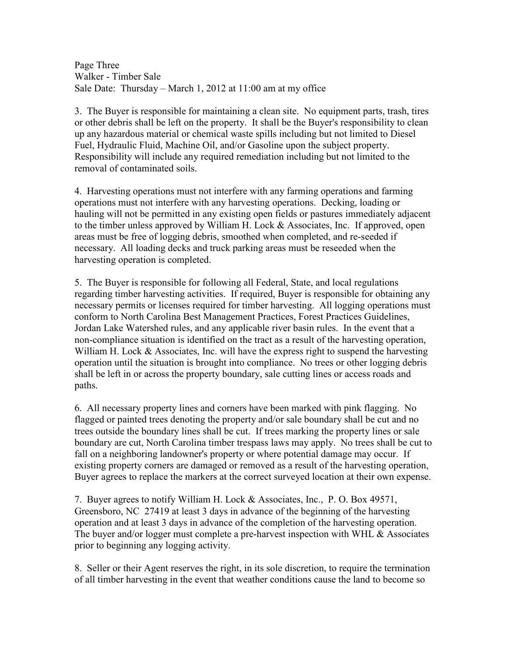Page Three Walker - Timber Sale Sale Date: Thursday – March 1, 2012 at 11:00 am at my office

3. The Buyer is responsible for maintaining a clean site. No equipment parts, trash, tires or other debris shall be left on the property. It shall be the Buyer's responsibility to clean up any hazardous material or chemical waste spills including but not limited to Diesel Fuel, Hydraulic Fluid, Machine Oil, and/or Gasoline upon the subject property. Responsibility will include any required remediation including but not limited to the removal of contaminated soils.

4. Harvesting operations must not interfere with any farming operations and farming operations must not interfere with any harvesting operations. Decking, loading or hauling will not be permitted in any existing open fields or pastures immediately adjacent to the timber unless approved by William H. Lock & Associates, Inc. If approved, open areas must be free of logging debris, smoothed when completed, and re-seeded if necessary. All loading decks and truck parking areas must be reseeded when the harvesting operation is completed.

5. The Buyer is responsible for following all Federal, State, and local regulations regarding timber harvesting activities. If required, Buyer is responsible for obtaining any necessary permits or licenses required for timber harvesting. All logging operations must conform to North Carolina Best Management Practices, Forest Practices Guidelines, Jordan Lake Watershed rules, and any applicable river basin rules. In the event that a non-compliance situation is identified on the tract as a result of the harvesting operation, William H. Lock & Associates, Inc. will have the express right to suspend the harvesting operation until the situation is brought into compliance. No trees or other logging debris shall be left in or across the property boundary, sale cutting lines or access roads and paths.

6. All necessary property lines and corners have been marked with pink flagging. No flagged or painted trees denoting the property and/or sale boundary shall be cut and no trees outside the boundary lines shall be cut. If trees marking the property lines or sale boundary are cut, North Carolina timber trespass laws may apply. No trees shall be cut to fall on a neighboring landowner's property or where potential damage may occur. If existing property corners are damaged or removed as a result of the harvesting operation, Buyer agrees to replace the markers at the correct surveyed location at their own expense.

7. Buyer agrees to notify William H. Lock & Associates, Inc., P. O. Box 49571, Greensboro, NC 27419 at least 3 days in advance of the beginning of the harvesting operation and at least 3 days in advance of the completion of the harvesting operation. The buyer and/or logger must complete a pre-harvest inspection with WHL & Associates prior to beginning any logging activity.

8. Seller or their Agent reserves the right, in its sole discretion, to require the termination of all timber harvesting in the event that weather conditions cause the land to become so